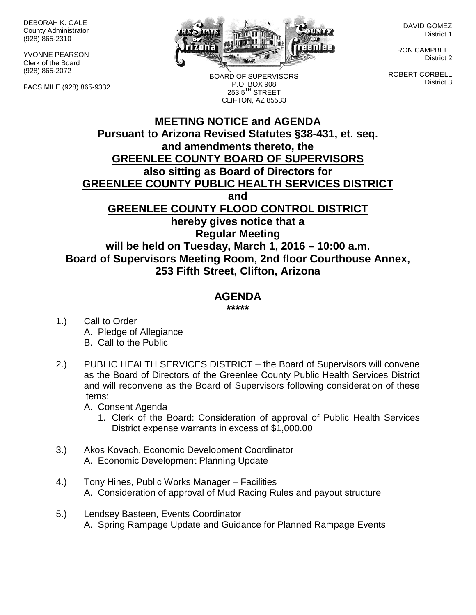DEBORAH K. GALE County Administrator (928) 865-2310

YVONNE PEARSON Clerk of the Board (928) 865-2072

FACSIMILE (928) 865-9332



BOARD OF SUPERVISORS P.O. BOX 908  $2535^{\text{TH}}$  STREET CLIFTON, AZ 85533

DAVID GOMEZ District 1

RON CAMPBELL District 2

ROBERT CORBELL District 3

## **MEETING NOTICE and AGENDA Pursuant to Arizona Revised Statutes §38-431, et. seq. and amendments thereto, the GREENLEE COUNTY BOARD OF SUPERVISORS also sitting as Board of Directors for GREENLEE COUNTY PUBLIC HEALTH SERVICES DISTRICT and GREENLEE COUNTY FLOOD CONTROL DISTRICT hereby gives notice that a Regular Meeting will be held on Tuesday, March 1, 2016 – 10:00 a.m. Board of Supervisors Meeting Room, 2nd floor Courthouse Annex, 253 Fifth Street, Clifton, Arizona**

## **AGENDA**

**\*\*\*\*\***

- 1.) Call to Order A. Pledge of Allegiance B. Call to the Public
- 2.) PUBLIC HEALTH SERVICES DISTRICT the Board of Supervisors will convene as the Board of Directors of the Greenlee County Public Health Services District and will reconvene as the Board of Supervisors following consideration of these items:

A. Consent Agenda

- 1. Clerk of the Board: Consideration of approval of Public Health Services District expense warrants in excess of \$1,000.00
- 3.) Akos Kovach, Economic Development Coordinator A. Economic Development Planning Update
- 4.) Tony Hines, Public Works Manager Facilities A. Consideration of approval of Mud Racing Rules and payout structure
- 5.) Lendsey Basteen, Events Coordinator A. Spring Rampage Update and Guidance for Planned Rampage Events